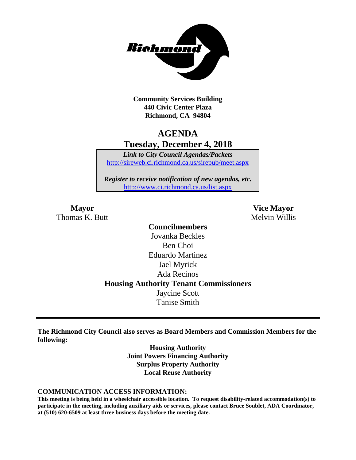

**Community Services Building 440 Civic Center Plaza Richmond, CA 94804**

# **AGENDA Tuesday, December 4, 2018**

*Link to City Council Agendas/Packets* <http://sireweb.ci.richmond.ca.us/sirepub/meet.aspx>

*Register to receive notification of new agendas, etc.* <http://www.ci.richmond.ca.us/list.aspx>

Thomas K. Butt Melvin Willis

**Mayor Vice Mayor**

**Councilmembers** Jovanka Beckles Ben Choi Eduardo Martinez Jael Myrick Ada Recinos **Housing Authority Tenant Commissioners** Jaycine Scott Tanise Smith

**The Richmond City Council also serves as Board Members and Commission Members for the following:**

> **Housing Authority Joint Powers Financing Authority Surplus Property Authority Local Reuse Authority**

#### **COMMUNICATION ACCESS INFORMATION:**

**This meeting is being held in a wheelchair accessible location. To request disability-related accommodation(s) to participate in the meeting, including auxiliary aids or services, please contact Bruce Soublet, ADA Coordinator, at (510) 620-6509 at least three business days before the meeting date.**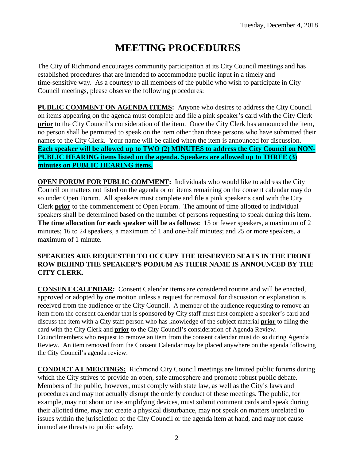# **MEETING PROCEDURES**

The City of Richmond encourages community participation at its City Council meetings and has established procedures that are intended to accommodate public input in a timely and time-sensitive way. As a courtesy to all members of the public who wish to participate in City Council meetings, please observe the following procedures:

**PUBLIC COMMENT ON AGENDA ITEMS:** Anyone who desires to address the City Council on items appearing on the agenda must complete and file a pink speaker's card with the City Clerk **prior** to the City Council's consideration of the item. Once the City Clerk has announced the item, no person shall be permitted to speak on the item other than those persons who have submitted their names to the City Clerk. Your name will be called when the item is announced for discussion. **Each speaker will be allowed up to TWO (2) MINUTES to address the City Council on NON-PUBLIC HEARING items listed on the agenda. Speakers are allowed up to THREE (3) minutes on PUBLIC HEARING items.**

**OPEN FORUM FOR PUBLIC COMMENT:** Individuals who would like to address the City Council on matters not listed on the agenda or on items remaining on the consent calendar may do so under Open Forum. All speakers must complete and file a pink speaker's card with the City Clerk **prior** to the commencement of Open Forum. The amount of time allotted to individual speakers shall be determined based on the number of persons requesting to speak during this item. **The time allocation for each speaker will be as follows:** 15 or fewer speakers, a maximum of 2 minutes; 16 to 24 speakers, a maximum of 1 and one-half minutes; and 25 or more speakers, a maximum of 1 minute.

#### **SPEAKERS ARE REQUESTED TO OCCUPY THE RESERVED SEATS IN THE FRONT ROW BEHIND THE SPEAKER'S PODIUM AS THEIR NAME IS ANNOUNCED BY THE CITY CLERK.**

**CONSENT CALENDAR:** Consent Calendar items are considered routine and will be enacted, approved or adopted by one motion unless a request for removal for discussion or explanation is received from the audience or the City Council. A member of the audience requesting to remove an item from the consent calendar that is sponsored by City staff must first complete a speaker's card and discuss the item with a City staff person who has knowledge of the subject material **prior** to filing the card with the City Clerk and **prior** to the City Council's consideration of Agenda Review. Councilmembers who request to remove an item from the consent calendar must do so during Agenda Review. An item removed from the Consent Calendar may be placed anywhere on the agenda following the City Council's agenda review.

**CONDUCT AT MEETINGS:** Richmond City Council meetings are limited public forums during which the City strives to provide an open, safe atmosphere and promote robust public debate. Members of the public, however, must comply with state law, as well as the City's laws and procedures and may not actually disrupt the orderly conduct of these meetings. The public, for example, may not shout or use amplifying devices, must submit comment cards and speak during their allotted time, may not create a physical disturbance, may not speak on matters unrelated to issues within the jurisdiction of the City Council or the agenda item at hand, and may not cause immediate threats to public safety.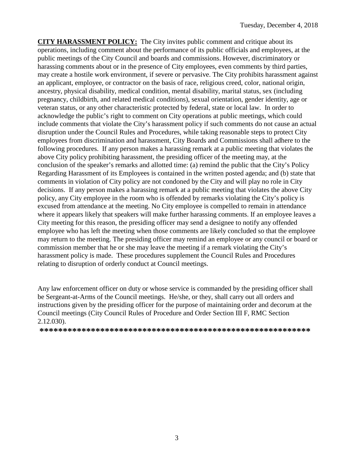**CITY HARASSMENT POLICY:** The City invites public comment and critique about its operations, including comment about the performance of its public officials and employees, at the public meetings of the City Council and boards and commissions. However, discriminatory or harassing comments about or in the presence of City employees, even comments by third parties, may create a hostile work environment, if severe or pervasive. The City prohibits harassment against an applicant, employee, or contractor on the basis of race, religious creed, color, national origin, ancestry, physical disability, medical condition, mental disability, marital status, sex (including pregnancy, childbirth, and related medical conditions), sexual orientation, gender identity, age or veteran status, or any other characteristic protected by federal, state or local law. In order to acknowledge the public's right to comment on City operations at public meetings, which could include comments that violate the City's harassment policy if such comments do not cause an actual disruption under the Council Rules and Procedures, while taking reasonable steps to protect City employees from discrimination and harassment, City Boards and Commissions shall adhere to the following procedures. If any person makes a harassing remark at a public meeting that violates the above City policy prohibiting harassment, the presiding officer of the meeting may, at the conclusion of the speaker's remarks and allotted time: (a) remind the public that the City's Policy Regarding Harassment of its Employees is contained in the written posted agenda; and (b) state that comments in violation of City policy are not condoned by the City and will play no role in City decisions. If any person makes a harassing remark at a public meeting that violates the above City policy, any City employee in the room who is offended by remarks violating the City's policy is excused from attendance at the meeting. No City employee is compelled to remain in attendance where it appears likely that speakers will make further harassing comments. If an employee leaves a City meeting for this reason, the presiding officer may send a designee to notify any offended employee who has left the meeting when those comments are likely concluded so that the employee may return to the meeting. The presiding officer may remind an employee or any council or board or commission member that he or she may leave the meeting if a remark violating the City's harassment policy is made. These procedures supplement the Council Rules and Procedures relating to disruption of orderly conduct at Council meetings.

Any law enforcement officer on duty or whose service is commanded by the presiding officer shall be Sergeant-at-Arms of the Council meetings. He/she, or they, shall carry out all orders and instructions given by the presiding officer for the purpose of maintaining order and decorum at the Council meetings (City Council Rules of Procedure and Order Section III F, RMC Section 2.12.030).

**\*\*\*\*\*\*\*\*\*\*\*\*\*\*\*\*\*\*\*\*\*\*\*\*\*\*\*\*\*\*\*\*\*\*\*\*\*\*\*\*\*\*\*\*\*\*\*\*\*\*\*\*\*\*\*\*\*\***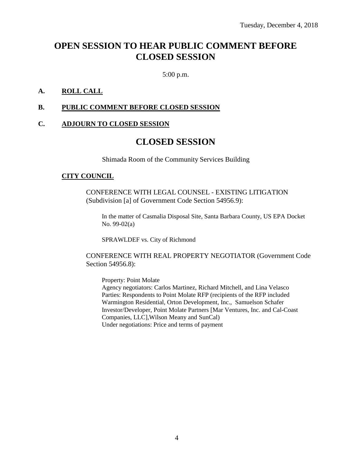# **OPEN SESSION TO HEAR PUBLIC COMMENT BEFORE CLOSED SESSION**

5:00 p.m.

### **A. ROLL CALL**

#### **B. PUBLIC COMMENT BEFORE CLOSED SESSION**

#### **C. ADJOURN TO CLOSED SESSION**

## **CLOSED SESSION**

Shimada Room of the Community Services Building

#### **CITY COUNCIL**

CONFERENCE WITH LEGAL COUNSEL - EXISTING LITIGATION (Subdivision [a] of Government Code Section 54956.9):

In the matter of Casmalia Disposal Site, Santa Barbara County, US EPA Docket No. 99-02(a)

SPRAWLDEF vs. City of Richmond

CONFERENCE WITH REAL PROPERTY NEGOTIATOR (Government Code Section 54956.8):

Property: Point Molate Agency negotiators: Carlos Martinez, Richard Mitchell, and Lina Velasco Parties: Respondents to Point Molate RFP (recipients of the RFP included Warmington Residential, Orton Development, Inc., Samuelson Schafer Investor/Developer, Point Molate Partners [Mar Ventures, Inc. and Cal-Coast Companies, LLC],Wilson Meany and SunCal) Under negotiations: Price and terms of payment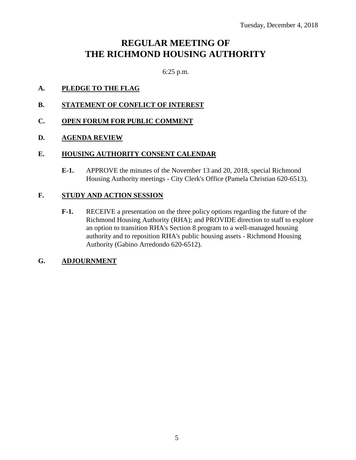# **REGULAR MEETING OF THE RICHMOND HOUSING AUTHORITY**

6:25 p.m.

#### **A. PLEDGE TO THE FLAG**

**B. STATEMENT OF CONFLICT OF INTEREST**

#### **C. OPEN FORUM FOR PUBLIC COMMENT**

#### **D. AGENDA REVIEW**

#### **E. HOUSING AUTHORITY CONSENT CALENDAR**

**E-1.** APPROVE the minutes of the November 13 and 20, 2018, special Richmond Housing Authority meetings - City Clerk's Office (Pamela Christian 620-6513).

#### **F. STUDY AND ACTION SESSION**

**F-1.** RECEIVE a presentation on the three policy options regarding the future of the Richmond Housing Authority (RHA); and PROVIDE direction to staff to explore an option to transition RHA's Section 8 program to a well-managed housing authority and to reposition RHA's public housing assets - Richmond Housing Authority (Gabino Arredondo 620-6512).

#### **G. ADJOURNMENT**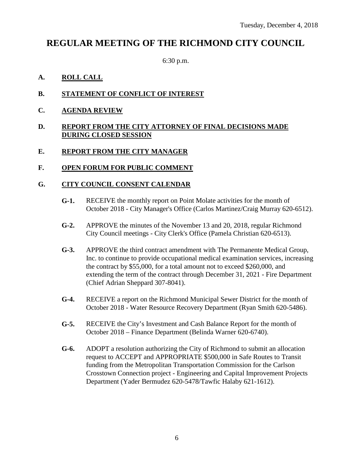# **REGULAR MEETING OF THE RICHMOND CITY COUNCIL**

6:30 p.m.

### **A. ROLL CALL**

- **B. STATEMENT OF CONFLICT OF INTEREST**
- **C. AGENDA REVIEW**

#### **D. REPORT FROM THE CITY ATTORNEY OF FINAL DECISIONS MADE DURING CLOSED SESSION**

### **E. REPORT FROM THE CITY MANAGER**

#### **F. OPEN FORUM FOR PUBLIC COMMENT**

#### **G. CITY COUNCIL CONSENT CALENDAR**

- **G-1.** RECEIVE the monthly report on Point Molate activities for the month of October 2018 - City Manager's Office (Carlos Martinez/Craig Murray 620-6512).
- **G-2.** APPROVE the minutes of the November 13 and 20, 2018, regular Richmond City Council meetings - City Clerk's Office (Pamela Christian 620-6513).
- **G-3.** APPROVE the third contract amendment with The Permanente Medical Group, Inc. to continue to provide occupational medical examination services, increasing the contract by \$55,000, for a total amount not to exceed \$260,000, and extending the term of the contract through December 31, 2021 - Fire Department (Chief Adrian Sheppard 307-8041).
- **G-4.** RECEIVE a report on the Richmond Municipal Sewer District for the month of October 2018 - Water Resource Recovery Department (Ryan Smith 620-5486).
- **G-5.** RECEIVE the City's Investment and Cash Balance Report for the month of October 2018 – Finance Department (Belinda Warner 620-6740).
- **G-6.** ADOPT a resolution authorizing the City of Richmond to submit an allocation request to ACCEPT and APPROPRIATE \$500,000 in Safe Routes to Transit funding from the Metropolitan Transportation Commission for the Carlson Crosstown Connection project - Engineering and Capital Improvement Projects Department (Yader Bermudez 620-5478/Tawfic Halaby 621-1612).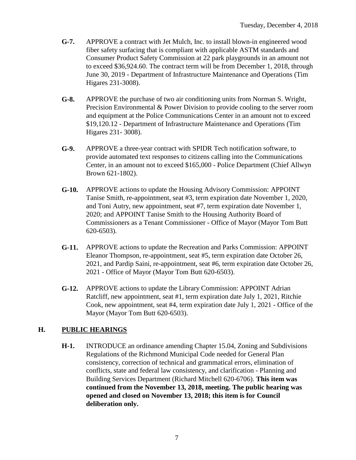- **G-7.** APPROVE a contract with Jet Mulch, Inc. to install blown-in engineered wood fiber safety surfacing that is compliant with applicable ASTM standards and Consumer Product Safety Commission at 22 park playgrounds in an amount not to exceed \$36,924.60. The contract term will be from December 1, 2018, through June 30, 2019 - Department of Infrastructure Maintenance and Operations (Tim Higares 231-3008).
- **G-8.** APPROVE the purchase of two air conditioning units from Norman S. Wright, Precision Environmental & Power Division to provide cooling to the server room and equipment at the Police Communications Center in an amount not to exceed \$19,120.12 - Department of Infrastructure Maintenance and Operations (Tim Higares 231- 3008).
- **G-9.** APPROVE a three-year contract with SPIDR Tech notification software, to provide automated text responses to citizens calling into the Communications Center, in an amount not to exceed \$165,000 - Police Department (Chief Allwyn Brown 621-1802).
- **G-10.** APPROVE actions to update the Housing Advisory Commission: APPOINT Tanise Smith, re-appointment, seat #3, term expiration date November 1, 2020, and Toni Autry, new appointment, seat #7, term expiration date November 1, 2020; and APPOINT Tanise Smith to the Housing Authority Board of Commissioners as a Tenant Commissioner - Office of Mayor (Mayor Tom Butt 620-6503).
- **G-11.** APPROVE actions to update the Recreation and Parks Commission: APPOINT Eleanor Thompson, re-appointment, seat #5, term expiration date October 26, 2021, and Pardip Saini, re-appointment, seat #6, term expiration date October 26, 2021 - Office of Mayor (Mayor Tom Butt 620-6503).
- **G-12.** APPROVE actions to update the Library Commission: APPOINT Adrian Ratcliff, new appointment, seat #1, term expiration date July 1, 2021, Ritchie Cook, new appointment, seat #4, term expiration date July 1, 2021 - Office of the Mayor (Mayor Tom Butt 620-6503).

### **H. PUBLIC HEARINGS**

**H-1.** INTRODUCE an ordinance amending Chapter 15.04, Zoning and Subdivisions Regulations of the Richmond Municipal Code needed for General Plan consistency, correction of technical and grammatical errors, elimination of conflicts, state and federal law consistency, and clarification - Planning and Building Services Department (Richard Mitchell 620-6706). **This item was continued from the November 13, 2018, meeting. The public hearing was opened and closed on November 13, 2018; this item is for Council deliberation only.**